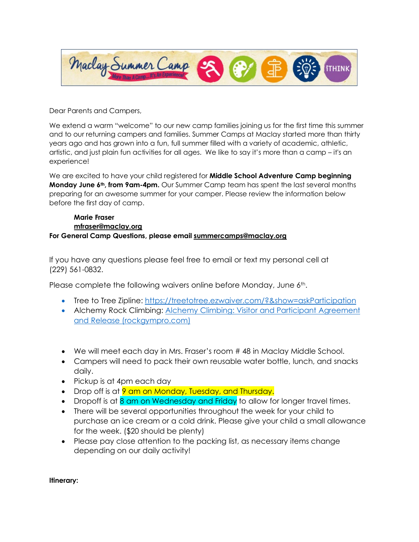

Dear Parents and Campers,

We extend a warm "welcome" to our new camp families joining us for the first time this summer and to our returning campers and families. Summer Camps at Maclay started more than thirty years ago and has grown into a fun, full summer filled with a variety of academic, athletic, artistic, and just plain fun activities for all ages. We like to say it's more than a camp – it's an experience!

We are excited to have your child registered for **Middle School Adventure Camp beginning Monday June 6<sup>th</sup>, from 9am-4pm.** Our Summer Camp team has spent the last several months preparing for an awesome summer for your camper. Please review the information below before the first day of camp.

#### **Marie Fraser [mfraser@maclay.org](mailto:mfraser@maclay.org)  For General Camp Questions, please email [summercamps@maclay.org](mailto:summercamps@maclay.org)**

If you have any questions please feel free to email or text my personal cell at (229) 561-0832.

Please complete the following waivers online before Monday, June  $6<sup>th</sup>$ .

- Tree to Tree Zipline:<https://treetotree.ezwaiver.com/?&show=askParticipation>
- Alchemy Rock Climbing: [Alchemy Climbing: Visitor and Participant Agreement](https://app.rockgympro.com/waiver/esign/tallahasseerockgym/b130b044-d46c-4140-811c-91bf1b675766)  [and Release \(rockgympro.com\)](https://app.rockgympro.com/waiver/esign/tallahasseerockgym/b130b044-d46c-4140-811c-91bf1b675766)
- We will meet each day in Mrs. Fraser's room # 48 in Maclay Middle School.
- Campers will need to pack their own reusable water bottle, lunch, and snacks daily.
- Pickup is at 4pm each day
- Drop off is at 9 am on Monday, Tuesday, and Thursday.
- Dropoff is at 8 am on Wednesday and Friday to allow for longer travel times.
- There will be several opportunities throughout the week for your child to purchase an ice cream or a cold drink. Please give your child a small allowance for the week. (\$20 should be plenty)
- Please pay close attention to the packing list, as necessary items change depending on our daily activity!

**Itinerary:**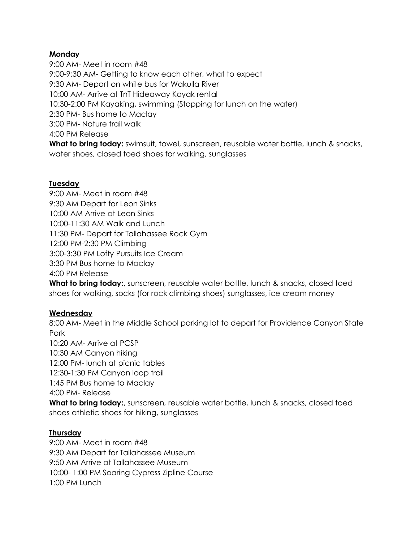# **Monday**

9:00 AM- Meet in room #48 9:00-9:30 AM- Getting to know each other, what to expect 9:30 AM- Depart on white bus for Wakulla River 10:00 AM- Arrive at TnT Hideaway Kayak rental 10:30-2:00 PM Kayaking, swimming (Stopping for lunch on the water) 2:30 PM- Bus home to Maclay 3:00 PM- Nature trail walk 4:00 PM Release **What to bring today:** swimsuit, towel, sunscreen, reusable water bottle, lunch & snacks,

water shoes, closed toed shoes for walking, sunglasses

# **Tuesday**

9:00 AM- Meet in room #48 9:30 AM Depart for Leon Sinks 10:00 AM Arrive at Leon Sinks 10:00-11:30 AM Walk and Lunch 11:30 PM- Depart for Tallahassee Rock Gym 12:00 PM-2:30 PM Climbing 3:00-3:30 PM Lofty Pursuits Ice Cream 3:30 PM Bus home to Maclay 4:00 PM Release

What to bring today:, sunscreen, reusable water bottle, lunch & snacks, closed toed shoes for walking, socks (for rock climbing shoes) sunglasses, ice cream money

# **Wednesday**

8:00 AM- Meet in the Middle School parking lot to depart for Providence Canyon State Park

10:20 AM- Arrive at PCSP

10:30 AM Canyon hiking

12:00 PM- lunch at picnic tables

12:30-1:30 PM Canyon loop trail

1:45 PM Bus home to Maclay

4:00 PM- Release

**What to bring today:**, sunscreen, reusable water bottle, lunch & snacks, closed toed shoes athletic shoes for hiking, sunglasses

# **Thursday**

9:00 AM- Meet in room #48 9:30 AM Depart for Tallahassee Museum 9:50 AM Arrive at Tallahassee Museum 10:00- 1:00 PM Soaring Cypress Zipline Course 1:00 PM Lunch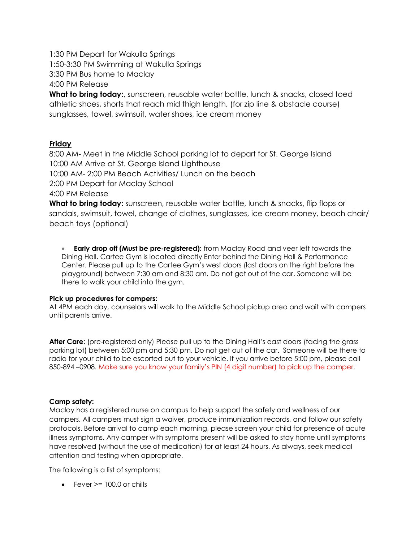1:30 PM Depart for Wakulla Springs 1:50-3:30 PM Swimming at Wakulla Springs 3:30 PM Bus home to Maclay 4:00 PM Release

**What to bring today:**, sunscreen, reusable water bottle, lunch & snacks, closed toed athletic shoes, shorts that reach mid thigh length, (for zip line & obstacle course) sunglasses, towel, swimsuit, water shoes, ice cream money

#### **Friday**

8:00 AM- Meet in the Middle School parking lot to depart for St. George Island 10:00 AM Arrive at St. George Island Lighthouse 10:00 AM- 2:00 PM Beach Activities/ Lunch on the beach 2:00 PM Depart for Maclay School 4:00 PM Release **What to bring today**: sunscreen, reusable water bottle, lunch & snacks, flip flops or

sandals, swimsuit, towel, change of clothes, sunglasses, ice cream money, beach chair/ beach toys (optional)

• **Early drop off (Must be pre-registered):** from Maclay Road and veer left towards the Dining Hall. Cartee Gym is located directly Enter behind the Dining Hall & Performance Center. Please pull up to the Cartee Gym's west doors (last doors on the right before the playground) between 7:30 am and 8:30 am. Do not get out of the car. Someone will be there to walk your child into the gym.

#### **Pick up procedures for campers:**

At 4PM each day, counselors will walk to the Middle School pickup area and wait with campers until parents arrive.

**After Care**: (pre-registered only) Please pull up to the Dining Hall's east doors (facing the grass parking lot) between 5:00 pm and 5:30 pm. Do not get out of the car. Someone will be there to radio for your child to be escorted out to your vehicle. If you arrive before 5:00 pm, please call 850-894 –0908. Make sure you know your family's PIN (4 digit number) to pick up the camper.

#### **Camp safety:**

Maclay has a registered nurse on campus to help support the safety and wellness of our campers. All campers must sign a waiver, produce immunization records, and follow our safety protocols. Before arrival to camp each morning, please screen your child for presence of acute illness symptoms. Any camper with symptoms present will be asked to stay home until symptoms have resolved (without the use of medication) for at least 24 hours. As always, seek medical attention and testing when appropriate.

The following is a list of symptoms:

• Fever  $\ge$  = 100.0 or chills